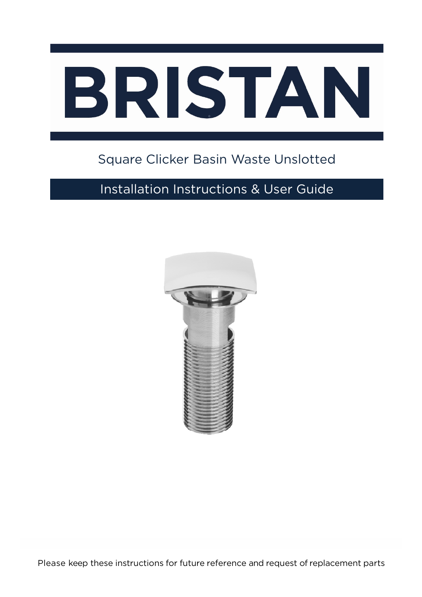

# Square Clicker Basin Waste Unslotted

## Installation Instructions & User Guide

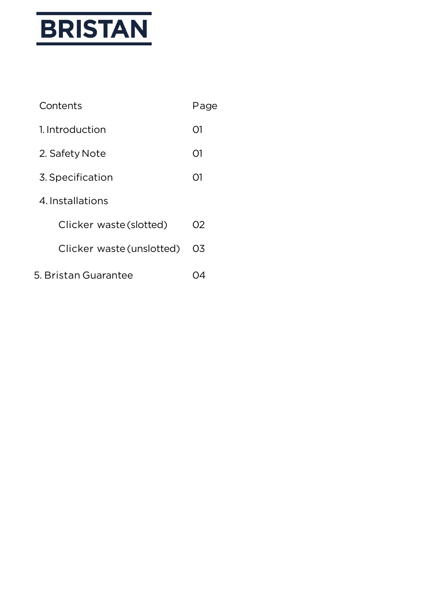

| Contents                  | Page |
|---------------------------|------|
| 1. Introduction           | O1   |
| 2. Safety Note            | O1   |
| 3. Specification          | O1   |
| 4 Installations           |      |
| Clicker waste (slotted)   | 02   |
| Clicker waste (unslotted) | O3   |
| 5. Bristan Guarantee      |      |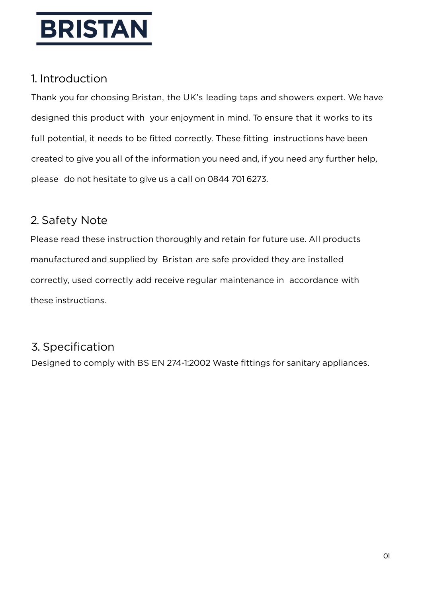

#### 1. Introduction

Thank you for choosing Bristan, the UK's leading taps and showers expert. We have designed this product with your enjoyment in mind. To ensure that it works to its full potential, it needs to be fitted correctly. These fitting instructions have been created to give you all of the information you need and, if you need any further help, please do not hesitate to give us a call on 0844 701 6273.

### 2. Safety Note

Please read these instruction thoroughly and retain for future use. All products manufactured and supplied by Bristan are safe provided they are installed correctly, used correctly add receive regular maintenance in accordance with these instructions.

### 3. Specification

Designed to comply with BS EN 274-1:2002 Waste fittings for sanitary appliances.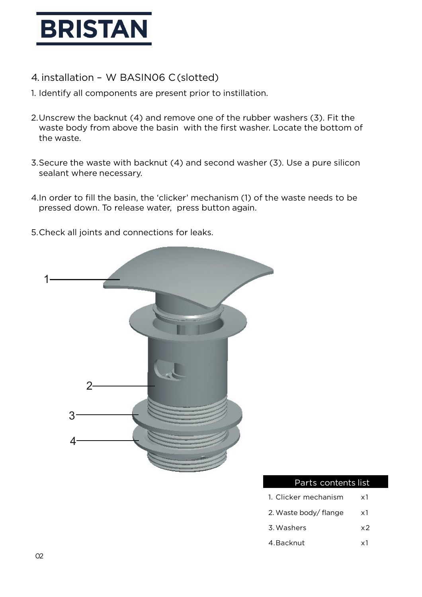

- 4. installation W BASIN06 C(slotted)
- 1. Identify all components are present prior to instillation.
- 2.Unscrew the backnut (4) and remove one of the rubber washers (3). Fit the waste body from above the basin with the first washer. Locate the bottom of the waste.
- 3.Secure the waste with backnut (4) and second washer (3). Use a pure silicon sealant where necessary.
- 4.In order to fill the basin, the 'clicker' mechanism (1) of the waste needs to be pressed down. To release water, press button again.
- 5.Check all joints and connections for leaks.



#### Parts contents list

- 1. Clicker mechanism x1
- 2. Waste body/ flange x1
- 3.Washers x2
- 4.Backnut x1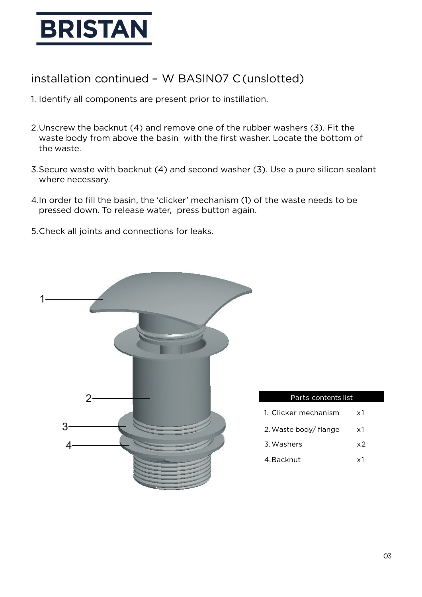

#### installation continued – W BASIN07 C(unslotted)

- 1. Identify all components are present prior to instillation.
- 2.Unscrew the backnut (4) and remove one of the rubber washers (3). Fit the waste body from above the basin with the first washer. Locate the bottom of the waste.
- 3.Secure waste with backnut (4) and second washer (3). Use a pure silicon sealant where necessary.
- 4.In order to fill the basin, the 'clicker' mechanism (1) of the waste needs to be pressed down. To release water, press button again.
- 5.Check all joints and connections for leaks.



| Parts contents list   |            |
|-----------------------|------------|
|                       |            |
| 1. Clicker mechanism  | x1         |
| 2. Waste body/ flange | x1         |
| 3. Washers            | x2         |
| 4. Backnut            | $\times 1$ |
|                       |            |